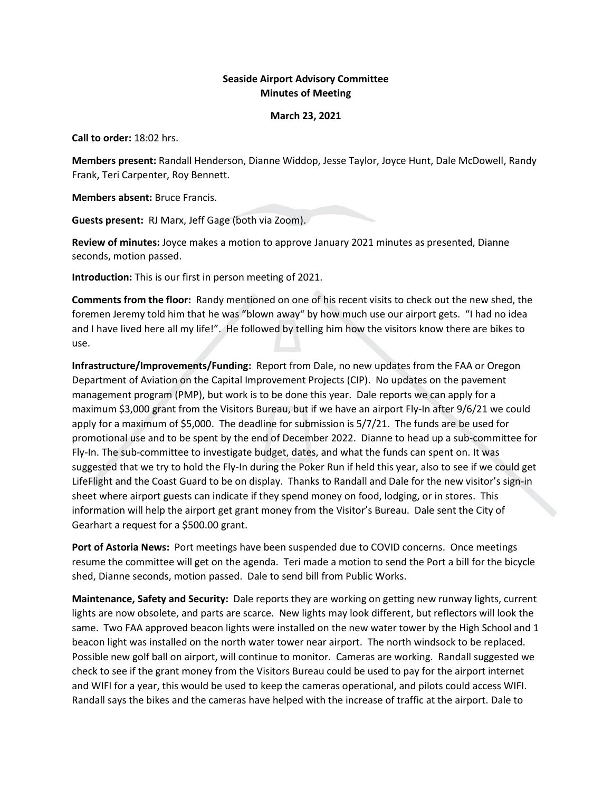## **Seaside Airport Advisory Committee Minutes of Meeting**

## **March 23, 2021**

**Call to order:** 18:02 hrs.

**Members present:** Randall Henderson, Dianne Widdop, Jesse Taylor, Joyce Hunt, Dale McDowell, Randy Frank, Teri Carpenter, Roy Bennett.

**Members absent:** Bruce Francis.

**Guests present:** RJ Marx, Jeff Gage (both via Zoom).

**Review of minutes:** Joyce makes a motion to approve January 2021 minutes as presented, Dianne seconds, motion passed.

**Introduction:** This is our first in person meeting of 2021.

**Comments from the floor:** Randy mentioned on one of his recent visits to check out the new shed, the foremen Jeremy told him that he was "blown away" by how much use our airport gets. "I had no idea and I have lived here all my life!". He followed by telling him how the visitors know there are bikes to use.

**Infrastructure/Improvements/Funding:** Report from Dale, no new updates from the FAA or Oregon Department of Aviation on the Capital Improvement Projects (CIP). No updates on the pavement management program (PMP), but work is to be done this year. Dale reports we can apply for a maximum \$3,000 grant from the Visitors Bureau, but if we have an airport Fly-In after 9/6/21 we could apply for a maximum of \$5,000. The deadline for submission is 5/7/21. The funds are be used for promotional use and to be spent by the end of December 2022. Dianne to head up a sub-committee for Fly-In. The sub-committee to investigate budget, dates, and what the funds can spent on. It was suggested that we try to hold the Fly-In during the Poker Run if held this year, also to see if we could get LifeFlight and the Coast Guard to be on display. Thanks to Randall and Dale for the new visitor's sign-in sheet where airport guests can indicate if they spend money on food, lodging, or in stores. This information will help the airport get grant money from the Visitor's Bureau. Dale sent the City of Gearhart a request for a \$500.00 grant.

**Port of Astoria News:** Port meetings have been suspended due to COVID concerns. Once meetings resume the committee will get on the agenda. Teri made a motion to send the Port a bill for the bicycle shed, Dianne seconds, motion passed. Dale to send bill from Public Works.

**Maintenance, Safety and Security:** Dale reports they are working on getting new runway lights, current lights are now obsolete, and parts are scarce. New lights may look different, but reflectors will look the same. Two FAA approved beacon lights were installed on the new water tower by the High School and 1 beacon light was installed on the north water tower near airport. The north windsock to be replaced. Possible new golf ball on airport, will continue to monitor. Cameras are working. Randall suggested we check to see if the grant money from the Visitors Bureau could be used to pay for the airport internet and WIFI for a year, this would be used to keep the cameras operational, and pilots could access WIFI. Randall says the bikes and the cameras have helped with the increase of traffic at the airport. Dale to